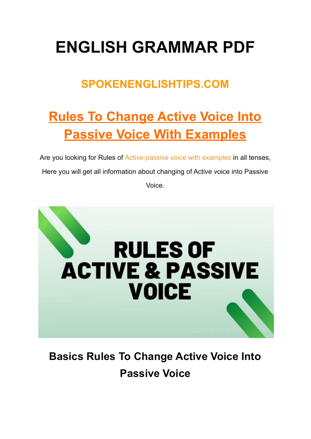# **ENGLISH GRAMMAR PDF**

### **SPOKENENGLISHTIPS.COM**

# **Rules To Change Active Voice Into Passive Voice With Examples**

Are you looking for Rules of [Active-passive](https://examples.yourdictionary.com/examples-of-active-and-passive-voice.html) voice with examples in all tenses, Here you will get all information about changing of Active voice into Passive Voice.



## **Basics Rules To Change Active Voice Into Passive Voice**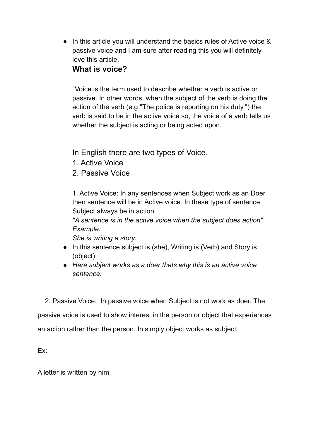● In this article you will understand the basics rules of Active voice & passive voice and I am sure after reading this you will definitely love this article.

#### **What is voice?**

"Voice is the term used to describe whether a verb is active or passive. In other words, when the subject of the verb is doing the action of the verb (e.g "The police is reporting on his duty.") the verb is said to be in the active voice so, the voice of a verb tells us whether the subject is acting or being acted upon.

In English there are two types of Voice.

- 1. Active Voice
- 2. Passive Voice

1. Active Voice: In any sentences when Subject work as an Doer then sentence will be in Active voice. In these type of sentence Subject always be in action.

*"A sentence is in the active voice when the subject does action" Example:*

*She is writing a story.*

- In this sentence subject is (she), Writing is (Verb) and Story is (object)
- *Here subject works as a doer thats why this is an active voice sentence.*

2. Passive Voice: In passive voice when Subject is not work as doer. The passive voice is used to show interest in the person or object that experiences an action rather than the person. In simply object works as subject.

Ex:

A letter is written by him.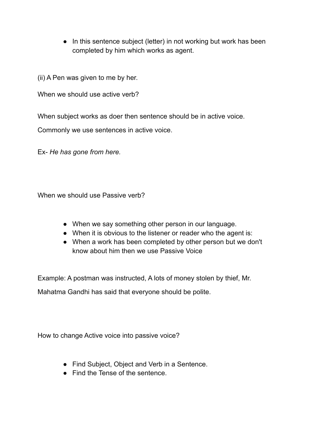• In this sentence subject (letter) in not working but work has been completed by him which works as agent.

(ii) A Pen was given to me by her.

When we should use active verb?

When subject works as doer then sentence should be in active voice.

Commonly we use sentences in active voice.

Ex- *He has gone from here.*

When we should use Passive verb?

- When we say something other person in our language.
- When it is obvious to the listener or reader who the agent is:
- When a work has been completed by other person but we don't know about him then we use Passive Voice

Example: A postman was instructed, A lots of money stolen by thief, Mr.

Mahatma Gandhi has said that everyone should be polite.

How to change Active voice into passive voice?

- Find Subject, Object and Verb in a Sentence.
- Find the Tense of the sentence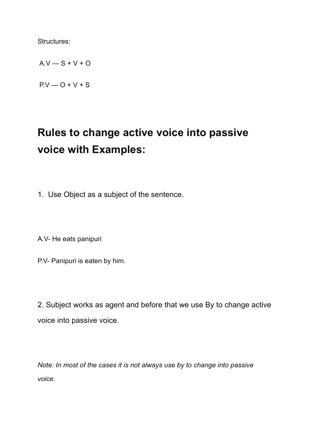Structures:

 $A.V - S + V + O$ 

 $P.V - O + V + S$ 

### **Rules to change active voice into passive voice with Examples:**

1. Use Object as a subject of the sentence.

A.V- He eats panipuri

P.V- Panipuri is eaten by him.

2. Subject works as agent and before that we use By to change active voice into passive voice.

*Note: In most of the cases it is not always use by to change into passive voice.*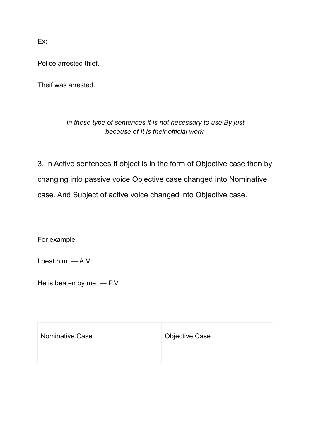Ex:

Police arrested thief.

Theif was arrested.

#### *In these type of sentences it is not necessary to use By just because of It is their official work.*

3. In Active sentences If object is in the form of Objective case then by changing into passive voice Objective case changed into Nominative case. And Subject of active voice changed into Objective case.

For example :

I beat him. — A.V

He is beaten by me. — P.V

| Nominative Case | <b>Objective Case</b> |
|-----------------|-----------------------|
|                 |                       |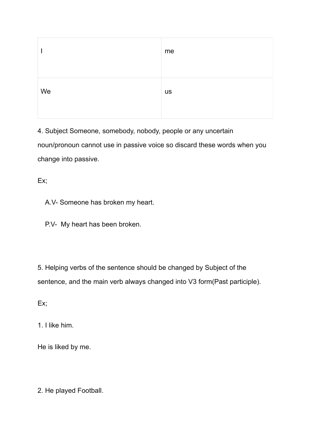|    | me        |
|----|-----------|
| We | <b>US</b> |

4. Subject Someone, somebody, nobody, people or any uncertain noun/pronoun cannot use in passive voice so discard these words when you change into passive.

Ex:

A.V- Someone has broken my heart.

P.V- My heart has been broken.

5. Helping verbs of the sentence should be changed by Subject of the sentence, and the main verb always changed into V3 form(Past participle).

Ex:

1. I like him.

He is liked by me.

2. He played Football.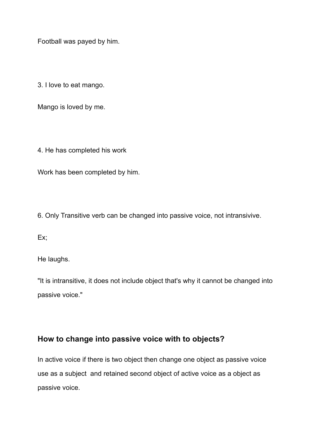Football was payed by him.

3. I love to eat mango.

Mango is loved by me.

4. He has completed his work

Work has been completed by him.

6. Only Transitive verb can be changed into passive voice, not intransivive.

Ex:

He laughs.

"It is intransitive, it does not include object that's why it cannot be changed into passive voice."

#### **How to change into passive voice with to objects?**

In active voice if there is two object then change one object as passive voice use as a subject and retained second object of active voice as a object as passive voice.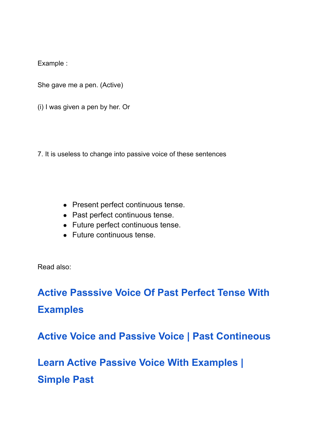Example :

She gave me a pen. (Active)

(i) I was given a pen by her. Or

7. It is useless to change into passive voice of these sentences

- Present perfect continuous tense.
- Past perfect continuous tense.
- Future perfect continuous tense.
- Future continuous tense.

Read also:

**Active [Passsive](https://spokenenglishtips.com/active-passsive-voice-of-past-perfect-tense-with-examples/) Voice Of Past Perfect Tense With [Examples](https://spokenenglishtips.com/active-passsive-voice-of-past-perfect-tense-with-examples/)**

**Active Voice and Passive Voice | Past [Contineous](https://spokenenglishtips.com/active-voice-and-passive-voice-past-contineous/)**

**Learn Active Passive Voice With [Examples](https://spokenenglishtips.com/learn-active-passive-voice-with-examples-simple-past/) | [Simple](https://spokenenglishtips.com/learn-active-passive-voice-with-examples-simple-past/) Past**